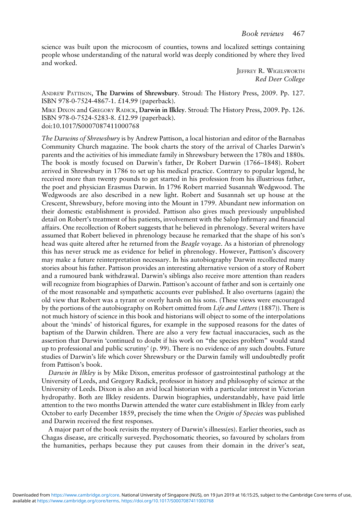science was built upon the microcosm of counties, towns and localized settings containing people whose understanding of the natural world was deeply conditioned by where they lived and worked.

> JEFFREY R. WIGELSWORTH Red Deer College

ANDREW PATTISON, The Darwins of Shrewsbury. Stroud: The History Press, 2009. Pp. 127. ISBN 978-0-7524-4867-1. £14.99 (paperback).

MIKE DIXON and GREGORY RADICK, Darwin in Ilkley. Stroud: The History Press, 2009. Pp. 126. ISBN 978-0-7524-5283-8. £12.99 (paperback).

doi:10.1017/S0007087411000768

The Darwins of Shrewsbury is by Andrew Pattison, a local historian and editor of the Barnabas Community Church magazine. The book charts the story of the arrival of Charles Darwin's parents and the activities of his immediate family in Shrewsbury between the 1780s and 1880s. The book is mostly focused on Darwin's father, Dr Robert Darwin (1766–1848). Robert arrived in Shrewsbury in 1786 to set up his medical practice. Contrary to popular legend, he received more than twenty pounds to get started in his profession from his illustrious father, the poet and physician Erasmus Darwin. In 1796 Robert married Susannah Wedgwood. The Wedgwoods are also described in a new light. Robert and Susannah set up house at the Crescent, Shrewsbury, before moving into the Mount in 1799. Abundant new information on their domestic establishment is provided. Pattison also gives much previously unpublished detail on Robert's treatment of his patients, involvement with the Salop Infirmary and financial affairs. One recollection of Robert suggests that he believed in phrenology. Several writers have assumed that Robert believed in phrenology because he remarked that the shape of his son's head was quite altered after he returned from the Beagle voyage. As a historian of phrenology this has never struck me as evidence for belief in phrenology. However, Pattison's discovery may make a future reinterpretation necessary. In his autobiography Darwin recollected many stories about his father. Pattison provides an interesting alternative version of a story of Robert and a rumoured bank withdrawal. Darwin's siblings also receive more attention than readers will recognize from biographies of Darwin. Pattison's account of father and son is certainly one of the most reasonable and sympathetic accounts ever published. It also overturns (again) the old view that Robert was a tyrant or overly harsh on his sons. (These views were encouraged by the portions of the autobiography on Robert omitted from Life and Letters (1887)). There is not much history of science in this book and historians will object to some of the interpolations about the 'minds' of historical figures, for example in the supposed reasons for the dates of baptism of the Darwin children. There are also a very few factual inaccuracies, such as the assertion that Darwin 'continued to doubt if his work on "the species problem" would stand up to professional and public scrutiny' (p. 99). There is no evidence of any such doubts. Future studies of Darwin's life which cover Shrewsbury or the Darwin family will undoubtedly profit from Pattison's book.

Darwin in Ilkley is by Mike Dixon, emeritus professor of gastrointestinal pathology at the University of Leeds, and Gregory Radick, professor in history and philosophy of science at the University of Leeds. Dixon is also an avid local historian with a particular interest in Victorian hydropathy. Both are Ilkley residents. Darwin biographies, understandably, have paid little attention to the two months Darwin attended the water cure establishment in Ilkley from early October to early December 1859, precisely the time when the Origin of Species was published and Darwin received the first responses.

A major part of the book revisits the mystery of Darwin's illness(es). Earlier theories, such as Chagas disease, are critically surveyed. Psychosomatic theories, so favoured by scholars from the humanities, perhaps because they put causes from their domain in the driver's seat,